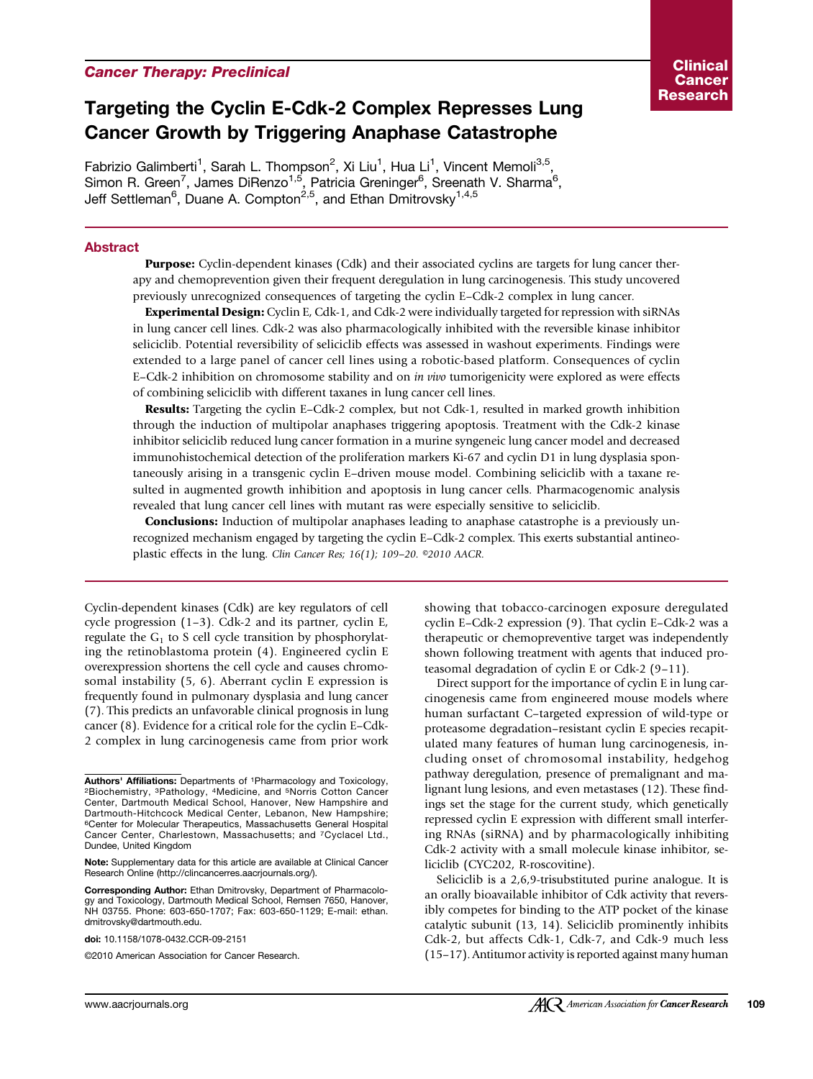## Cancer Therapy: Preclinical

# Targeting the Cyclin E-Cdk-2 Complex Represses Lung Cancer Growth by Triggering Anaphase Catastrophe

Fabrizio Galimberti<sup>1</sup>, Sarah L. Thompson<sup>2</sup>, Xi Liu<sup>1</sup>, Hua Li<sup>1</sup>, Vincent Memoli<sup>3,5</sup>, Simon R. Green<sup>7</sup>, James DiRenzo<sup>1,5</sup>, Patricia Greninger<sup>6</sup>, Sreenath V. Sharma<sup>6</sup>, Jeff Settleman<sup>6</sup>, Duane A. Compton<sup>2,5</sup>, and Ethan Dmitrovsky<sup>1,4,5</sup>

## Abstract

**Purpose:** Cyclin-dependent kinases (Cdk) and their associated cyclins are targets for lung cancer therapy and chemoprevention given their frequent deregulation in lung carcinogenesis. This study uncovered previously unrecognized consequences of targeting the cyclin E–Cdk-2 complex in lung cancer.

Experimental Design: Cyclin E, Cdk-1, and Cdk-2 were individually targeted for repression with siRNAs in lung cancer cell lines. Cdk-2 was also pharmacologically inhibited with the reversible kinase inhibitor seliciclib. Potential reversibility of seliciclib effects was assessed in washout experiments. Findings were extended to a large panel of cancer cell lines using a robotic-based platform. Consequences of cyclin E–Cdk-2 inhibition on chromosome stability and on in vivo tumorigenicity were explored as were effects of combining seliciclib with different taxanes in lung cancer cell lines.

**Results:** Targeting the cyclin E–Cdk-2 complex, but not Cdk-1, resulted in marked growth inhibition through the induction of multipolar anaphases triggering apoptosis. Treatment with the Cdk-2 kinase inhibitor seliciclib reduced lung cancer formation in a murine syngeneic lung cancer model and decreased immunohistochemical detection of the proliferation markers Ki-67 and cyclin D1 in lung dysplasia spontaneously arising in a transgenic cyclin E–driven mouse model. Combining seliciclib with a taxane resulted in augmented growth inhibition and apoptosis in lung cancer cells. Pharmacogenomic analysis revealed that lung cancer cell lines with mutant ras were especially sensitive to seliciclib.

**Conclusions:** Induction of multipolar anaphases leading to anaphase catastrophe is a previously unrecognized mechanism engaged by targeting the cyclin E–Cdk-2 complex. This exerts substantial antineoplastic effects in the lung. Clin Cancer Res; 16(1); 109–20. ©2010 AACR.

Cyclin-dependent kinases (Cdk) are key regulators of cell cycle progression (1–3). Cdk-2 and its partner, cyclin E, regulate the  $G_1$  to S cell cycle transition by phosphorylating the retinoblastoma protein (4). Engineered cyclin E overexpression shortens the cell cycle and causes chromosomal instability (5, 6). Aberrant cyclin E expression is frequently found in pulmonary dysplasia and lung cancer (7). This predicts an unfavorable clinical prognosis in lung cancer (8). Evidence for a critical role for the cyclin E–Cdk-2 complex in lung carcinogenesis came from prior work

doi: 10.1158/1078-0432.CCR-09-2151

©2010 American Association for Cancer Research.

showing that tobacco-carcinogen exposure deregulated cyclin E–Cdk-2 expression (9). That cyclin E–Cdk-2 was a therapeutic or chemopreventive target was independently shown following treatment with agents that induced proteasomal degradation of cyclin E or Cdk-2 (9–11).

Direct support for the importance of cyclin E in lung carcinogenesis came from engineered mouse models where human surfactant C–targeted expression of wild-type or proteasome degradation–resistant cyclin E species recapitulated many features of human lung carcinogenesis, including onset of chromosomal instability, hedgehog pathway deregulation, presence of premalignant and malignant lung lesions, and even metastases (12). These findings set the stage for the current study, which genetically repressed cyclin E expression with different small interfering RNAs (siRNA) and by pharmacologically inhibiting Cdk-2 activity with a small molecule kinase inhibitor, seliciclib (CYC202, R-roscovitine).

Seliciclib is a 2,6,9-trisubstituted purine analogue. It is an orally bioavailable inhibitor of Cdk activity that reversibly competes for binding to the ATP pocket of the kinase catalytic subunit (13, 14). Seliciclib prominently inhibits Cdk-2, but affects Cdk-1, Cdk-7, and Cdk-9 much less (15–17). Antitumor activity is reported against many human

Authors' Affiliations: Departments of 1Pharmacology and Toxicology, 2Biochemistry, 3Pathology, 4Medicine, and 5Norris Cotton Cancer Center, Dartmouth Medical School, Hanover, New Hampshire and Dartmouth-Hitchcock Medical Center, Lebanon, New Hampshire; 6Center for Molecular Therapeutics, Massachusetts General Hospital Cancer Center, Charlestown, Massachusetts; and 7Cyclacel Ltd., Dundee, United Kingdom

Note: Supplementary data for this article are available at Clinical Cancer Research Online (http://clincancerres.aacrjournals.org/).

Corresponding Author: Ethan Dmitrovsky, Department of Pharmacology and Toxicology, Dartmouth Medical School, Remsen 7650, Hanover, NH 03755. Phone: 603-650-1707; Fax: 603-650-1129; E-mail: ethan. dmitrovsky@dartmouth.edu.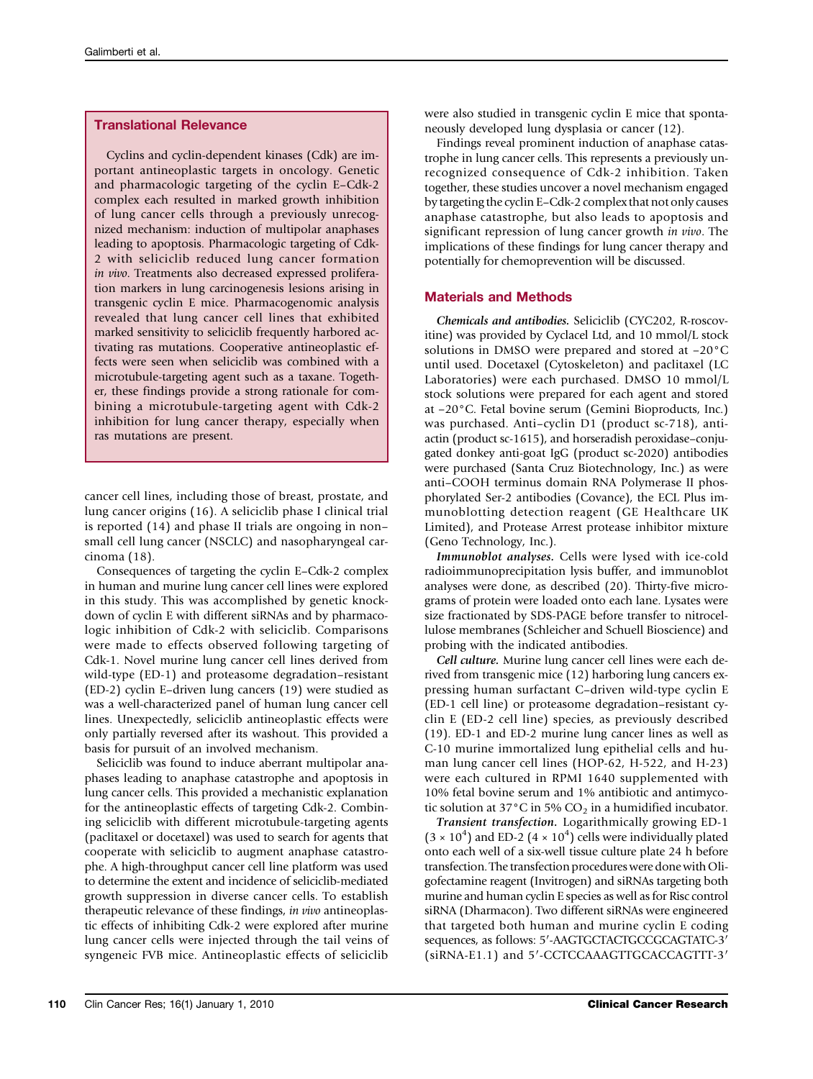## Translational Relevance

Cyclins and cyclin-dependent kinases (Cdk) are important antineoplastic targets in oncology. Genetic and pharmacologic targeting of the cyclin E–Cdk-2 complex each resulted in marked growth inhibition of lung cancer cells through a previously unrecognized mechanism: induction of multipolar anaphases leading to apoptosis. Pharmacologic targeting of Cdk-2 with seliciclib reduced lung cancer formation in vivo. Treatments also decreased expressed proliferation markers in lung carcinogenesis lesions arising in transgenic cyclin E mice. Pharmacogenomic analysis revealed that lung cancer cell lines that exhibited marked sensitivity to seliciclib frequently harbored activating ras mutations. Cooperative antineoplastic effects were seen when seliciclib was combined with a microtubule-targeting agent such as a taxane. Together, these findings provide a strong rationale for combining a microtubule-targeting agent with Cdk-2 inhibition for lung cancer therapy, especially when ras mutations are present.

cancer cell lines, including those of breast, prostate, and lung cancer origins (16). A seliciclib phase I clinical trial is reported (14) and phase II trials are ongoing in non– small cell lung cancer (NSCLC) and nasopharyngeal carcinoma (18).

Consequences of targeting the cyclin E–Cdk-2 complex in human and murine lung cancer cell lines were explored in this study. This was accomplished by genetic knockdown of cyclin E with different siRNAs and by pharmacologic inhibition of Cdk-2 with seliciclib. Comparisons were made to effects observed following targeting of Cdk-1. Novel murine lung cancer cell lines derived from wild-type (ED-1) and proteasome degradation–resistant (ED-2) cyclin E–driven lung cancers (19) were studied as was a well-characterized panel of human lung cancer cell lines. Unexpectedly, seliciclib antineoplastic effects were only partially reversed after its washout. This provided a basis for pursuit of an involved mechanism.

Seliciclib was found to induce aberrant multipolar anaphases leading to anaphase catastrophe and apoptosis in lung cancer cells. This provided a mechanistic explanation for the antineoplastic effects of targeting Cdk-2. Combining seliciclib with different microtubule-targeting agents (paclitaxel or docetaxel) was used to search for agents that cooperate with seliciclib to augment anaphase catastrophe. A high-throughput cancer cell line platform was used to determine the extent and incidence of seliciclib-mediated growth suppression in diverse cancer cells. To establish therapeutic relevance of these findings, in vivo antineoplastic effects of inhibiting Cdk-2 were explored after murine lung cancer cells were injected through the tail veins of syngeneic FVB mice. Antineoplastic effects of seliciclib

were also studied in transgenic cyclin E mice that spontaneously developed lung dysplasia or cancer (12).

Findings reveal prominent induction of anaphase catastrophe in lung cancer cells. This represents a previously unrecognized consequence of Cdk-2 inhibition. Taken together, these studies uncover a novel mechanism engaged by targeting the cyclin E–Cdk-2 complex that not only causes anaphase catastrophe, but also leads to apoptosis and significant repression of lung cancer growth in vivo. The implications of these findings for lung cancer therapy and potentially for chemoprevention will be discussed.

## Materials and Methods

Chemicals and antibodies. Seliciclib (CYC202, R-roscovitine) was provided by Cyclacel Ltd, and 10 mmol/L stock solutions in DMSO were prepared and stored at −20°C until used. Docetaxel (Cytoskeleton) and paclitaxel (LC Laboratories) were each purchased. DMSO 10 mmol/L stock solutions were prepared for each agent and stored at −20°C. Fetal bovine serum (Gemini Bioproducts, Inc.) was purchased. Anti–cyclin D1 (product sc-718), antiactin (product sc-1615), and horseradish peroxidase–conjugated donkey anti-goat IgG (product sc-2020) antibodies were purchased (Santa Cruz Biotechnology, Inc.) as were anti–COOH terminus domain RNA Polymerase II phosphorylated Ser-2 antibodies (Covance), the ECL Plus immunoblotting detection reagent (GE Healthcare UK Limited), and Protease Arrest protease inhibitor mixture (Geno Technology, Inc.).

Immunoblot analyses. Cells were lysed with ice-cold radioimmunoprecipitation lysis buffer, and immunoblot analyses were done, as described (20). Thirty-five micrograms of protein were loaded onto each lane. Lysates were size fractionated by SDS-PAGE before transfer to nitrocellulose membranes (Schleicher and Schuell Bioscience) and probing with the indicated antibodies.

Cell culture. Murine lung cancer cell lines were each derived from transgenic mice (12) harboring lung cancers expressing human surfactant C–driven wild-type cyclin E (ED-1 cell line) or proteasome degradation–resistant cyclin E (ED-2 cell line) species, as previously described (19). ED-1 and ED-2 murine lung cancer lines as well as C-10 murine immortalized lung epithelial cells and human lung cancer cell lines (HOP-62, H-522, and H-23) were each cultured in RPMI 1640 supplemented with 10% fetal bovine serum and 1% antibiotic and antimycotic solution at 37 $^{\circ}$ C in 5% CO<sub>2</sub> in a humidified incubator.

Transient transfection. Logarithmically growing ED-1  $(3 \times 10^{4})$  and ED-2  $(4 \times 10^{4})$  cells were individually plated onto each well of a six-well tissue culture plate 24 h before transfection. The transfection procedures were done with Oligofectamine reagent (Invitrogen) and siRNAs targeting both murine and human cyclin E species as well as for Risc control siRNA (Dharmacon). Two different siRNAs were engineered that targeted both human and murine cyclin E coding sequences, as follows: 5′-AAGTGCTACTGCCGCAGTATC-3′ (siRNA-E1.1) and 5′-CCTCCAAAGTTGCACCAGTTT-3′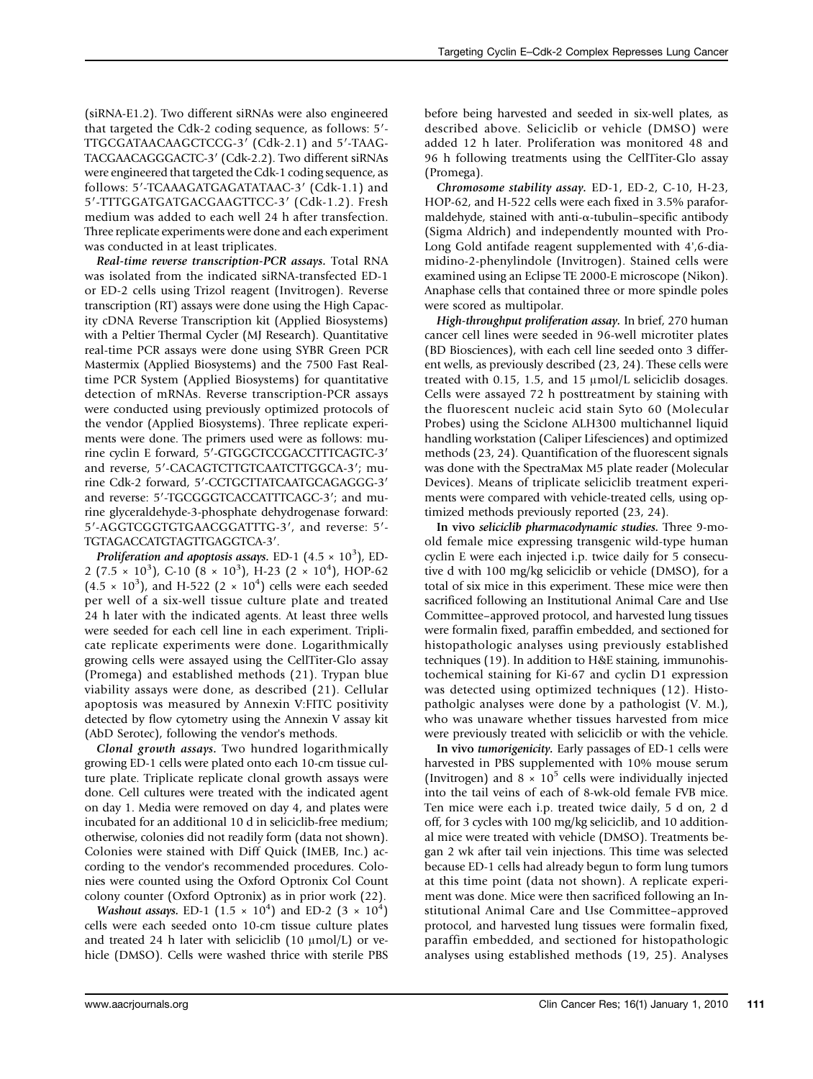(siRNA-E1.2). Two different siRNAs were also engineered that targeted the Cdk-2 coding sequence, as follows: 5′- TTGCGATAACAAGCTCCG-3′ (Cdk-2.1) and 5′-TAAG-TACGAACAGGGACTC-3′ (Cdk-2.2). Two different siRNAs were engineered that targeted the Cdk-1 coding sequence, as follows: 5′-TCAAAGATGAGATATAAC-3′ (Cdk-1.1) and 5′-TTTGGATGATGACGAAGTTCC-3′ (Cdk-1.2). Fresh medium was added to each well 24 h after transfection. Three replicate experiments were done and each experiment was conducted in at least triplicates.

Real-time reverse transcription-PCR assays. Total RNA was isolated from the indicated siRNA-transfected ED-1 or ED-2 cells using Trizol reagent (Invitrogen). Reverse transcription (RT) assays were done using the High Capacity cDNA Reverse Transcription kit (Applied Biosystems) with a Peltier Thermal Cycler (MJ Research). Quantitative real-time PCR assays were done using SYBR Green PCR Mastermix (Applied Biosystems) and the 7500 Fast Realtime PCR System (Applied Biosystems) for quantitative detection of mRNAs. Reverse transcription-PCR assays were conducted using previously optimized protocols of the vendor (Applied Biosystems). Three replicate experiments were done. The primers used were as follows: murine cyclin E forward, 5′-GTGGCTCCGACCTTTCAGTC-3′ and reverse, 5′-CACAGTCTTGTCAATCTTGGCA-3′; murine Cdk-2 forward, 5′-CCTGCTTATCAATGCAGAGGG-3′ and reverse: 5′-TGCGGGTCACCATTTCAGC-3′; and murine glyceraldehyde-3-phosphate dehydrogenase forward: 5′-AGGTCGGTGTGAACGGATTTG-3′, and reverse: 5′- TGTAGACCATGTAGTTGAGGTCA-3′.

Proliferation and apoptosis assays. ED-1  $(4.5 \times 10^3)$ , ED-2 (7.5 × 10<sup>3</sup>), C-10 (8 × 10<sup>3</sup>), H-23 (2 × 10<sup>4</sup>), HOP-62  $(4.5 \times 10^3)$ , and H-522 (2  $\times 10^4$ ) cells were each seeded per well of a six-well tissue culture plate and treated 24 h later with the indicated agents. At least three wells were seeded for each cell line in each experiment. Triplicate replicate experiments were done. Logarithmically growing cells were assayed using the CellTiter-Glo assay (Promega) and established methods (21). Trypan blue viability assays were done, as described (21). Cellular apoptosis was measured by Annexin V:FITC positivity detected by flow cytometry using the Annexin V assay kit (AbD Serotec), following the vendor's methods.

Clonal growth assays. Two hundred logarithmically growing ED-1 cells were plated onto each 10-cm tissue culture plate. Triplicate replicate clonal growth assays were done. Cell cultures were treated with the indicated agent on day 1. Media were removed on day 4, and plates were incubated for an additional 10 d in seliciclib-free medium; otherwise, colonies did not readily form (data not shown). Colonies were stained with Diff Quick (IMEB, Inc.) according to the vendor's recommended procedures. Colonies were counted using the Oxford Optronix Col Count colony counter (Oxford Optronix) as in prior work (22).

*Washout assays.* ED-1  $(1.5 \times 10^4)$  and ED-2  $(3 \times 10^4)$ cells were each seeded onto 10-cm tissue culture plates and treated 24 h later with seliciclib  $(10 \mu mol/L)$  or vehicle (DMSO). Cells were washed thrice with sterile PBS before being harvested and seeded in six-well plates, as described above. Seliciclib or vehicle (DMSO) were added 12 h later. Proliferation was monitored 48 and 96 h following treatments using the CellTiter-Glo assay (Promega).

Chromosome stability assay. ED-1, ED-2, C-10, H-23, HOP-62, and H-522 cells were each fixed in 3.5% paraformaldehyde, stained with anti-α-tubulin–specific antibody (Sigma Aldrich) and independently mounted with Pro-Long Gold antifade reagent supplemented with 4',6-diamidino-2-phenylindole (Invitrogen). Stained cells were examined using an Eclipse TE 2000-E microscope (Nikon). Anaphase cells that contained three or more spindle poles were scored as multipolar.

High-throughput proliferation assay. In brief, 270 human cancer cell lines were seeded in 96-well microtiter plates (BD Biosciences), with each cell line seeded onto 3 different wells, as previously described (23, 24). These cells were treated with 0.15, 1.5, and 15 μmol/L seliciclib dosages. Cells were assayed 72 h posttreatment by staining with the fluorescent nucleic acid stain Syto 60 (Molecular Probes) using the Sciclone ALH300 multichannel liquid handling workstation (Caliper Lifesciences) and optimized methods (23, 24). Quantification of the fluorescent signals was done with the SpectraMax M5 plate reader (Molecular Devices). Means of triplicate seliciclib treatment experiments were compared with vehicle-treated cells, using optimized methods previously reported (23, 24).

In vivo seliciclib pharmacodynamic studies. Three 9-moold female mice expressing transgenic wild-type human cyclin E were each injected i.p. twice daily for 5 consecutive d with 100 mg/kg seliciclib or vehicle (DMSO), for a total of six mice in this experiment. These mice were then sacrificed following an Institutional Animal Care and Use Committee–approved protocol, and harvested lung tissues were formalin fixed, paraffin embedded, and sectioned for histopathologic analyses using previously established techniques (19). In addition to H&E staining, immunohistochemical staining for Ki-67 and cyclin D1 expression was detected using optimized techniques (12). Histopatholgic analyses were done by a pathologist (V. M.), who was unaware whether tissues harvested from mice were previously treated with seliciclib or with the vehicle.

In vivo tumorigenicity. Early passages of ED-1 cells were harvested in PBS supplemented with 10% mouse serum (Invitrogen) and  $8 \times 10^5$  cells were individually injected into the tail veins of each of 8-wk-old female FVB mice. Ten mice were each i.p. treated twice daily, 5 d on, 2 d off, for 3 cycles with 100 mg/kg seliciclib, and 10 additional mice were treated with vehicle (DMSO). Treatments began 2 wk after tail vein injections. This time was selected because ED-1 cells had already begun to form lung tumors at this time point (data not shown). A replicate experiment was done. Mice were then sacrificed following an Institutional Animal Care and Use Committee–approved protocol, and harvested lung tissues were formalin fixed, paraffin embedded, and sectioned for histopathologic analyses using established methods (19, 25). Analyses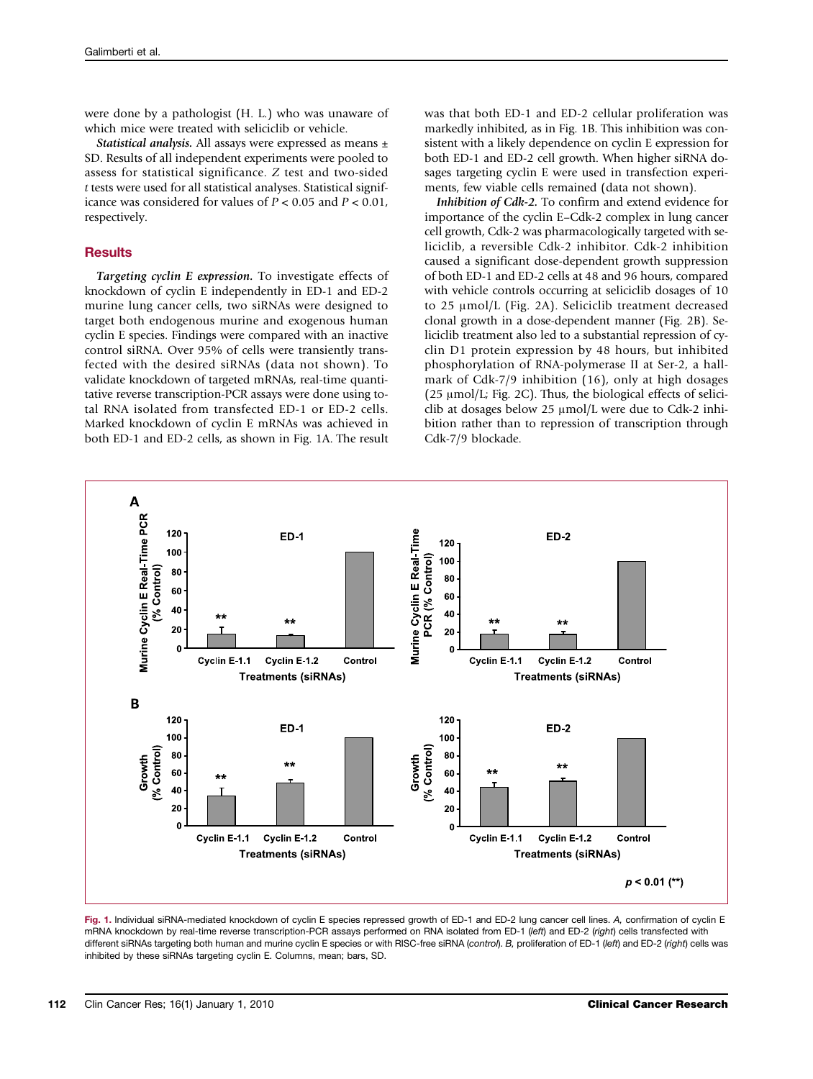were done by a pathologist (H. L.) who was unaware of which mice were treated with seliciclib or vehicle.

Statistical analysis. All assays were expressed as means  $\pm$ SD. Results of all independent experiments were pooled to assess for statistical significance. Z test and two-sided t tests were used for all statistical analyses. Statistical significance was considered for values of  $P < 0.05$  and  $P < 0.01$ , respectively.

#### **Results**

Targeting cyclin E expression. To investigate effects of knockdown of cyclin E independently in ED-1 and ED-2 murine lung cancer cells, two siRNAs were designed to target both endogenous murine and exogenous human cyclin E species. Findings were compared with an inactive control siRNA. Over 95% of cells were transiently transfected with the desired siRNAs (data not shown). To validate knockdown of targeted mRNAs, real-time quantitative reverse transcription-PCR assays were done using total RNA isolated from transfected ED-1 or ED-2 cells. Marked knockdown of cyclin E mRNAs was achieved in both ED-1 and ED-2 cells, as shown in Fig. 1A. The result

was that both ED-1 and ED-2 cellular proliferation was markedly inhibited, as in Fig. 1B. This inhibition was consistent with a likely dependence on cyclin E expression for both ED-1 and ED-2 cell growth. When higher siRNA dosages targeting cyclin E were used in transfection experiments, few viable cells remained (data not shown).

Inhibition of Cdk-2. To confirm and extend evidence for importance of the cyclin E–Cdk-2 complex in lung cancer cell growth, Cdk-2 was pharmacologically targeted with seliciclib, a reversible Cdk-2 inhibitor. Cdk-2 inhibition caused a significant dose-dependent growth suppression of both ED-1 and ED-2 cells at 48 and 96 hours, compared with vehicle controls occurring at seliciclib dosages of 10 to 25 μmol/L (Fig. 2A). Seliciclib treatment decreased clonal growth in a dose-dependent manner (Fig. 2B). Seliciclib treatment also led to a substantial repression of cyclin D1 protein expression by 48 hours, but inhibited phosphorylation of RNA-polymerase II at Ser-2, a hallmark of Cdk-7/9 inhibition (16), only at high dosages  $(25 \mu \text{mol/L}$ ; Fig. 2C). Thus, the biological effects of seliciclib at dosages below 25 μmol/L were due to Cdk-2 inhibition rather than to repression of transcription through Cdk-7/9 blockade.



Fig. 1. Individual siRNA-mediated knockdown of cyclin E species repressed growth of ED-1 and ED-2 lung cancer cell lines. A, confirmation of cyclin E mRNA knockdown by real-time reverse transcription-PCR assays performed on RNA isolated from ED-1 (left) and ED-2 (right) cells transfected with different siRNAs targeting both human and murine cyclin E species or with RISC-free siRNA (control). B, proliferation of ED-1 (left) and ED-2 (right) cells was inhibited by these siRNAs targeting cyclin E. Columns, mean; bars, SD.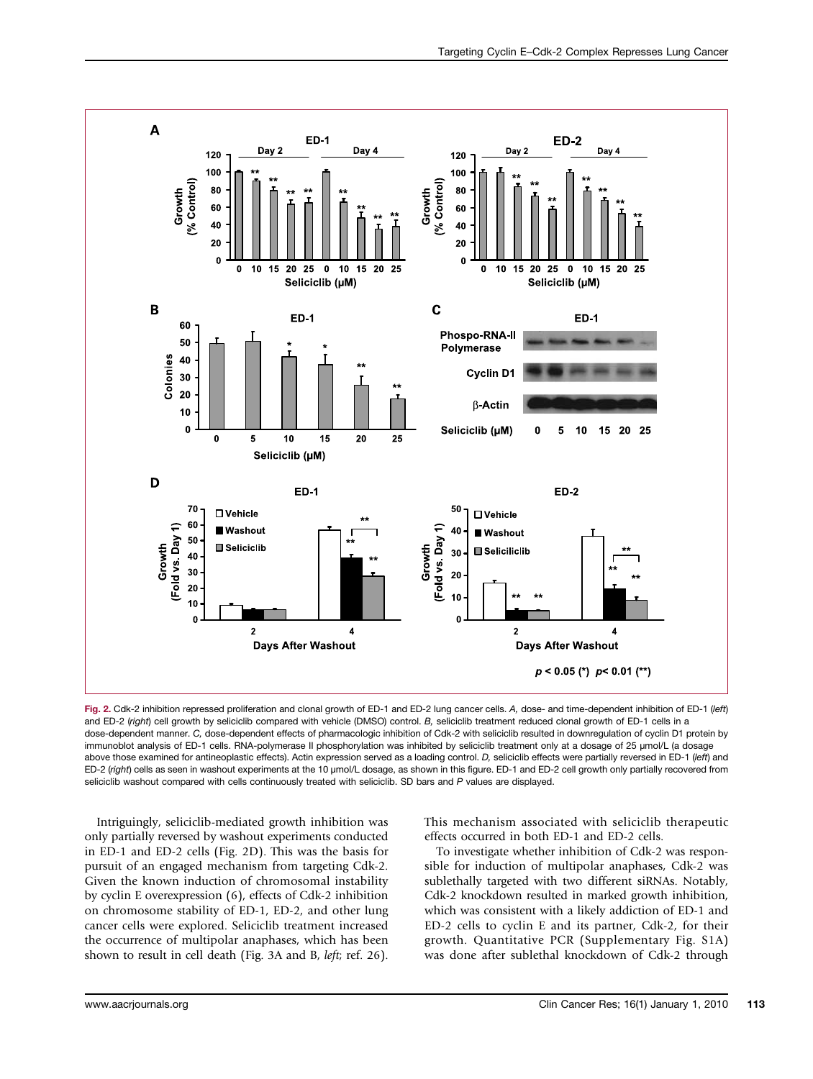

Fig. 2. Cdk-2 inhibition repressed proliferation and clonal growth of ED-1 and ED-2 lung cancer cells. A, dose- and time-dependent inhibition of ED-1 (left) and ED-2 (right) cell growth by seliciclib compared with vehicle (DMSO) control. B, seliciclib treatment reduced clonal growth of ED-1 cells in a dose-dependent manner. C, dose-dependent effects of pharmacologic inhibition of Cdk-2 with seliciclib resulted in downregulation of cyclin D1 protein by immunoblot analysis of ED-1 cells. RNA-polymerase II phosphorylation was inhibited by seliciclib treatment only at a dosage of 25 μmol/L (a dosage above those examined for antineoplastic effects). Actin expression served as a loading control. D, seliciclib effects were partially reversed in ED-1 (left) and ED-2 (right) cells as seen in washout experiments at the 10 <sup>μ</sup>mol/L dosage, as shown in this figure. ED-1 and ED-2 cell growth only partially recovered from seliciclib washout compared with cells continuously treated with seliciclib. SD bars and P values are displayed.

Intriguingly, seliciclib-mediated growth inhibition was only partially reversed by washout experiments conducted in ED-1 and ED-2 cells (Fig. 2D). This was the basis for pursuit of an engaged mechanism from targeting Cdk-2. Given the known induction of chromosomal instability by cyclin E overexpression (6), effects of Cdk-2 inhibition on chromosome stability of ED-1, ED-2, and other lung cancer cells were explored. Seliciclib treatment increased the occurrence of multipolar anaphases, which has been shown to result in cell death (Fig. 3A and B, left; ref. 26).

This mechanism associated with seliciclib therapeutic effects occurred in both ED-1 and ED-2 cells.

To investigate whether inhibition of Cdk-2 was responsible for induction of multipolar anaphases, Cdk-2 was sublethally targeted with two different siRNAs. Notably, Cdk-2 knockdown resulted in marked growth inhibition, which was consistent with a likely addiction of ED-1 and ED-2 cells to cyclin E and its partner, Cdk-2, for their growth. Quantitative PCR (Supplementary Fig. S1A) was done after sublethal knockdown of Cdk-2 through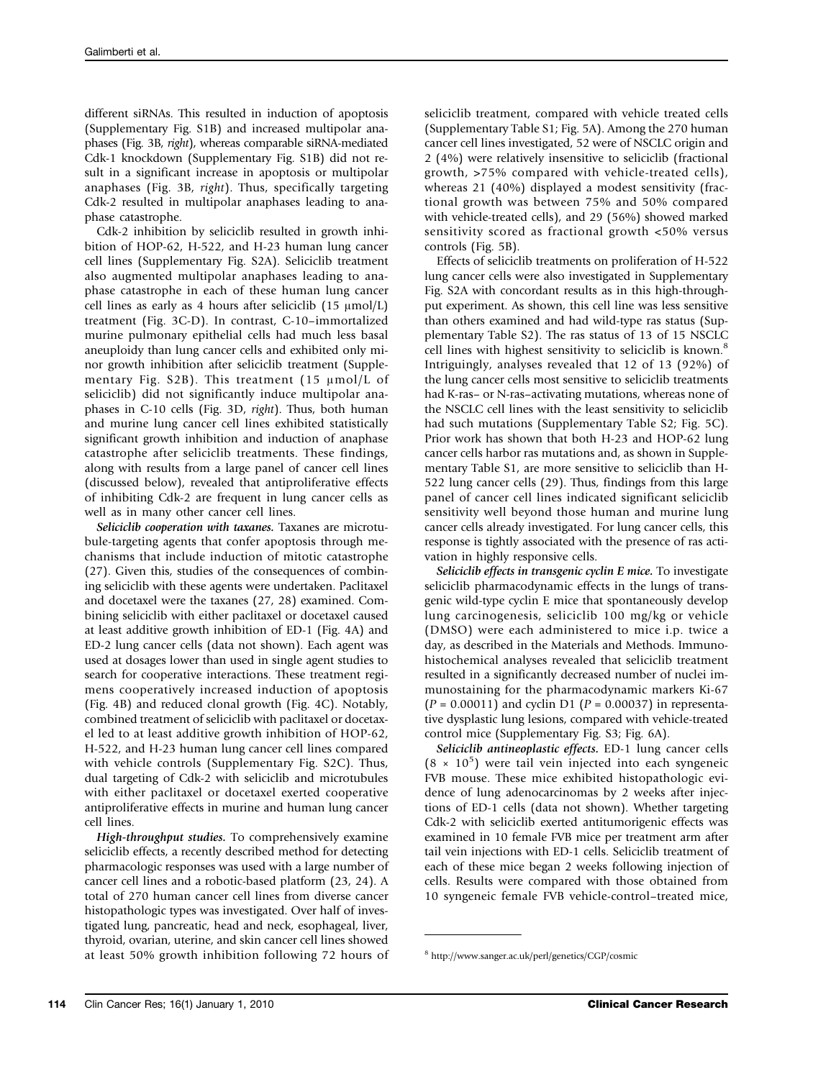different siRNAs. This resulted in induction of apoptosis (Supplementary Fig. S1B) and increased multipolar anaphases (Fig. 3B, right), whereas comparable siRNA-mediated Cdk-1 knockdown (Supplementary Fig. S1B) did not result in a significant increase in apoptosis or multipolar anaphases (Fig. 3B, right). Thus, specifically targeting Cdk-2 resulted in multipolar anaphases leading to anaphase catastrophe.

Cdk-2 inhibition by seliciclib resulted in growth inhibition of HOP-62, H-522, and H-23 human lung cancer cell lines (Supplementary Fig. S2A). Seliciclib treatment also augmented multipolar anaphases leading to anaphase catastrophe in each of these human lung cancer cell lines as early as 4 hours after seliciclib (15 μmol/L) treatment (Fig. 3C-D). In contrast, C-10–immortalized murine pulmonary epithelial cells had much less basal aneuploidy than lung cancer cells and exhibited only minor growth inhibition after seliciclib treatment (Supplementary Fig. S2B). This treatment (15 μmol/L of seliciclib) did not significantly induce multipolar anaphases in C-10 cells (Fig. 3D, right). Thus, both human and murine lung cancer cell lines exhibited statistically significant growth inhibition and induction of anaphase catastrophe after seliciclib treatments. These findings, along with results from a large panel of cancer cell lines (discussed below), revealed that antiproliferative effects of inhibiting Cdk-2 are frequent in lung cancer cells as well as in many other cancer cell lines.

Seliciclib cooperation with taxanes. Taxanes are microtubule-targeting agents that confer apoptosis through mechanisms that include induction of mitotic catastrophe (27). Given this, studies of the consequences of combining seliciclib with these agents were undertaken. Paclitaxel and docetaxel were the taxanes (27, 28) examined. Combining seliciclib with either paclitaxel or docetaxel caused at least additive growth inhibition of ED-1 (Fig. 4A) and ED-2 lung cancer cells (data not shown). Each agent was used at dosages lower than used in single agent studies to search for cooperative interactions. These treatment regimens cooperatively increased induction of apoptosis (Fig. 4B) and reduced clonal growth (Fig. 4C). Notably, combined treatment of seliciclib with paclitaxel or docetaxel led to at least additive growth inhibition of HOP-62, H-522, and H-23 human lung cancer cell lines compared with vehicle controls (Supplementary Fig. S2C). Thus, dual targeting of Cdk-2 with seliciclib and microtubules with either paclitaxel or docetaxel exerted cooperative antiproliferative effects in murine and human lung cancer cell lines.

High-throughput studies. To comprehensively examine seliciclib effects, a recently described method for detecting pharmacologic responses was used with a large number of cancer cell lines and a robotic-based platform (23, 24). A total of 270 human cancer cell lines from diverse cancer histopathologic types was investigated. Over half of investigated lung, pancreatic, head and neck, esophageal, liver, thyroid, ovarian, uterine, and skin cancer cell lines showed at least 50% growth inhibition following 72 hours of

seliciclib treatment, compared with vehicle treated cells (Supplementary Table S1; Fig. 5A). Among the 270 human cancer cell lines investigated, 52 were of NSCLC origin and 2 (4%) were relatively insensitive to seliciclib (fractional growth, >75% compared with vehicle-treated cells), whereas 21 (40%) displayed a modest sensitivity (fractional growth was between 75% and 50% compared with vehicle-treated cells), and 29 (56%) showed marked sensitivity scored as fractional growth <50% versus controls (Fig. 5B).

Effects of seliciclib treatments on proliferation of H-522 lung cancer cells were also investigated in Supplementary Fig. S2A with concordant results as in this high-throughput experiment. As shown, this cell line was less sensitive than others examined and had wild-type ras status (Supplementary Table S2). The ras status of 13 of 15 NSCLC cell lines with highest sensitivity to seliciclib is known.<sup>8</sup> Intriguingly, analyses revealed that 12 of 13 (92%) of the lung cancer cells most sensitive to seliciclib treatments had K-ras– or N-ras–activating mutations, whereas none of the NSCLC cell lines with the least sensitivity to seliciclib had such mutations (Supplementary Table S2; Fig. 5C). Prior work has shown that both H-23 and HOP-62 lung cancer cells harbor ras mutations and, as shown in Supplementary Table S1, are more sensitive to seliciclib than H-522 lung cancer cells (29). Thus, findings from this large panel of cancer cell lines indicated significant seliciclib sensitivity well beyond those human and murine lung cancer cells already investigated. For lung cancer cells, this response is tightly associated with the presence of ras activation in highly responsive cells.

Seliciclib effects in transgenic cyclin E mice. To investigate seliciclib pharmacodynamic effects in the lungs of transgenic wild-type cyclin E mice that spontaneously develop lung carcinogenesis, seliciclib 100 mg/kg or vehicle (DMSO) were each administered to mice i.p. twice a day, as described in the Materials and Methods. Immunohistochemical analyses revealed that seliciclib treatment resulted in a significantly decreased number of nuclei immunostaining for the pharmacodynamic markers Ki-67  $(P = 0.00011)$  and cyclin D1  $(P = 0.00037)$  in representative dysplastic lung lesions, compared with vehicle-treated control mice (Supplementary Fig. S3; Fig. 6A).

Seliciclib antineoplastic effects. ED-1 lung cancer cells  $(8 \times 10^5)$  were tail vein injected into each syngeneic FVB mouse. These mice exhibited histopathologic evidence of lung adenocarcinomas by 2 weeks after injections of ED-1 cells (data not shown). Whether targeting Cdk-2 with seliciclib exerted antitumorigenic effects was examined in 10 female FVB mice per treatment arm after tail vein injections with ED-1 cells. Seliciclib treatment of each of these mice began 2 weeks following injection of cells. Results were compared with those obtained from 10 syngeneic female FVB vehicle-control–treated mice,

<sup>8</sup> http://www.sanger.ac.uk/perl/genetics/CGP/cosmic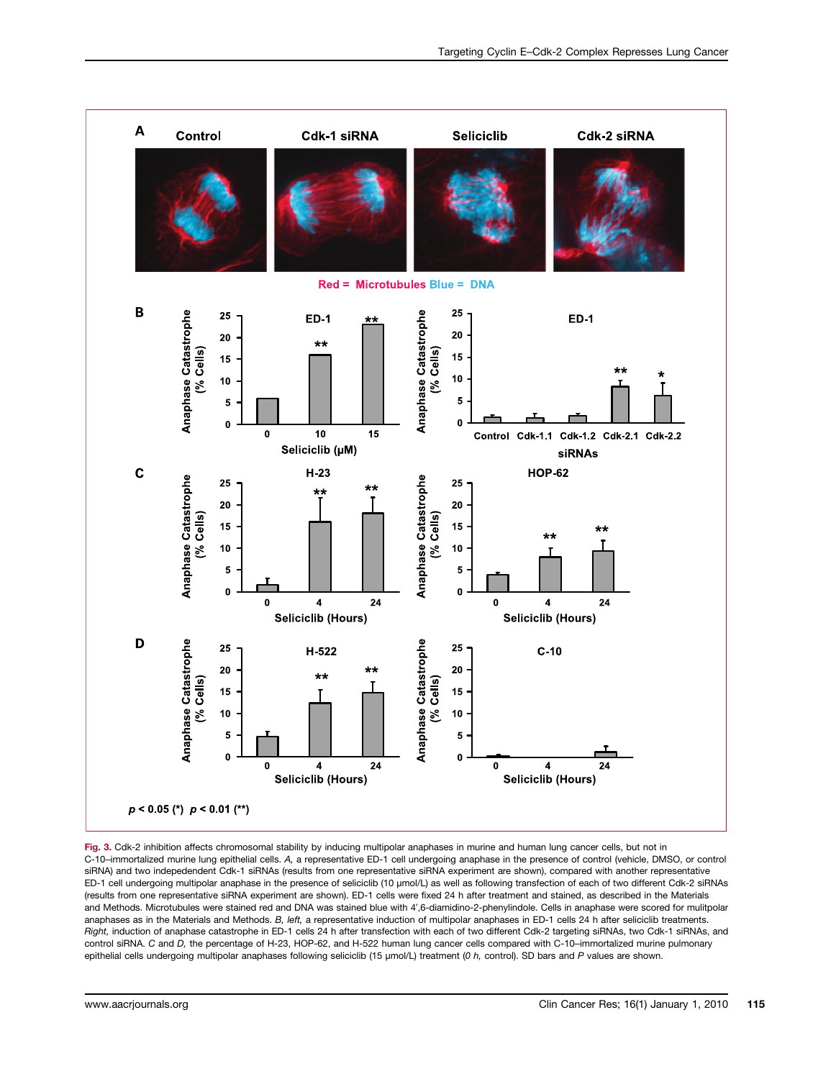

Fig. 3. Cdk-2 inhibition affects chromosomal stability by inducing multipolar anaphases in murine and human lung cancer cells, but not in C-10–immortalized murine lung epithelial cells. A, a representative ED-1 cell undergoing anaphase in the presence of control (vehicle, DMSO, or control siRNA) and two indepedendent Cdk-1 siRNAs (results from one representative siRNA experiment are shown), compared with another representative ED-1 cell undergoing multipolar anaphase in the presence of seliciclib (10 μmol/L) as well as following transfection of each of two different Cdk-2 siRNAs (results from one representative siRNA experiment are shown). ED-1 cells were fixed 24 h after treatment and stained, as described in the Materials and Methods. Microtubules were stained red and DNA was stained blue with 4′,6-diamidino-2-phenylindole. Cells in anaphase were scored for mulitpolar anaphases as in the Materials and Methods. B, left, a representative induction of multipolar anaphases in ED-1 cells 24 h after seliciclib treatments. Right, induction of anaphase catastrophe in ED-1 cells 24 h after transfection with each of two different Cdk-2 targeting siRNAs, two Cdk-1 siRNAs, and control siRNA. C and D, the percentage of H-23, HOP-62, and H-522 human lung cancer cells compared with C-10–immortalized murine pulmonary epithelial cells undergoing multipolar anaphases following seliciclib (15 μmol/L) treatment (0 h, control). SD bars and P values are shown.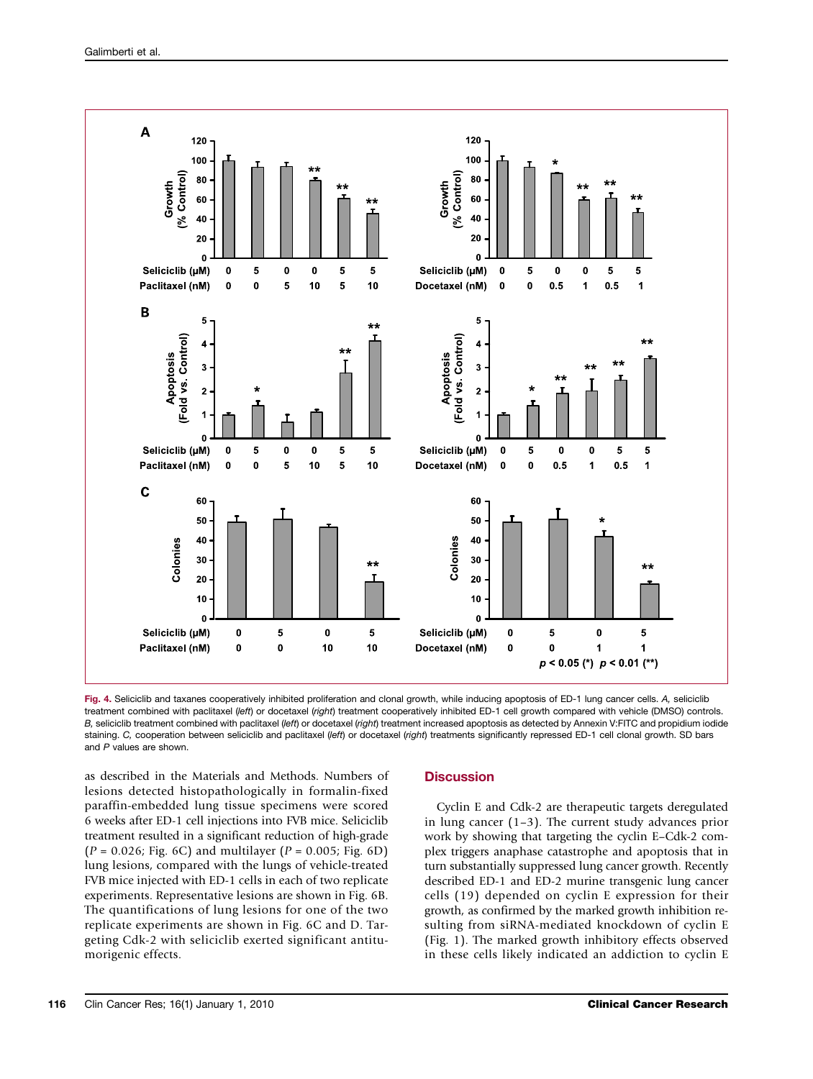

Fig. 4. Seliciclib and taxanes cooperatively inhibited proliferation and clonal growth, while inducing apoptosis of ED-1 lung cancer cells. A, seliciclib treatment combined with paclitaxel (left) or docetaxel (right) treatment cooperatively inhibited ED-1 cell growth compared with vehicle (DMSO) controls. B, seliciclib treatment combined with paclitaxel (left) or docetaxel (right) treatment increased apoptosis as detected by Annexin V:FITC and propidium iodide staining. C, cooperation between seliciclib and paclitaxel (left) or docetaxel (right) treatments significantly repressed ED-1 cell clonal growth. SD bars and P values are shown.

as described in the Materials and Methods. Numbers of lesions detected histopathologically in formalin-fixed paraffin-embedded lung tissue specimens were scored 6 weeks after ED-1 cell injections into FVB mice. Seliciclib treatment resulted in a significant reduction of high-grade  $(P = 0.026; Fig. 6C)$  and multilayer  $(P = 0.005; Fig. 6D)$ lung lesions, compared with the lungs of vehicle-treated FVB mice injected with ED-1 cells in each of two replicate experiments. Representative lesions are shown in Fig. 6B. The quantifications of lung lesions for one of the two replicate experiments are shown in Fig. 6C and D. Targeting Cdk-2 with seliciclib exerted significant antitumorigenic effects.

## **Discussion**

Cyclin E and Cdk-2 are therapeutic targets deregulated in lung cancer (1–3). The current study advances prior work by showing that targeting the cyclin E–Cdk-2 complex triggers anaphase catastrophe and apoptosis that in turn substantially suppressed lung cancer growth. Recently described ED-1 and ED-2 murine transgenic lung cancer cells (19) depended on cyclin E expression for their growth, as confirmed by the marked growth inhibition resulting from siRNA-mediated knockdown of cyclin E (Fig. 1). The marked growth inhibitory effects observed in these cells likely indicated an addiction to cyclin E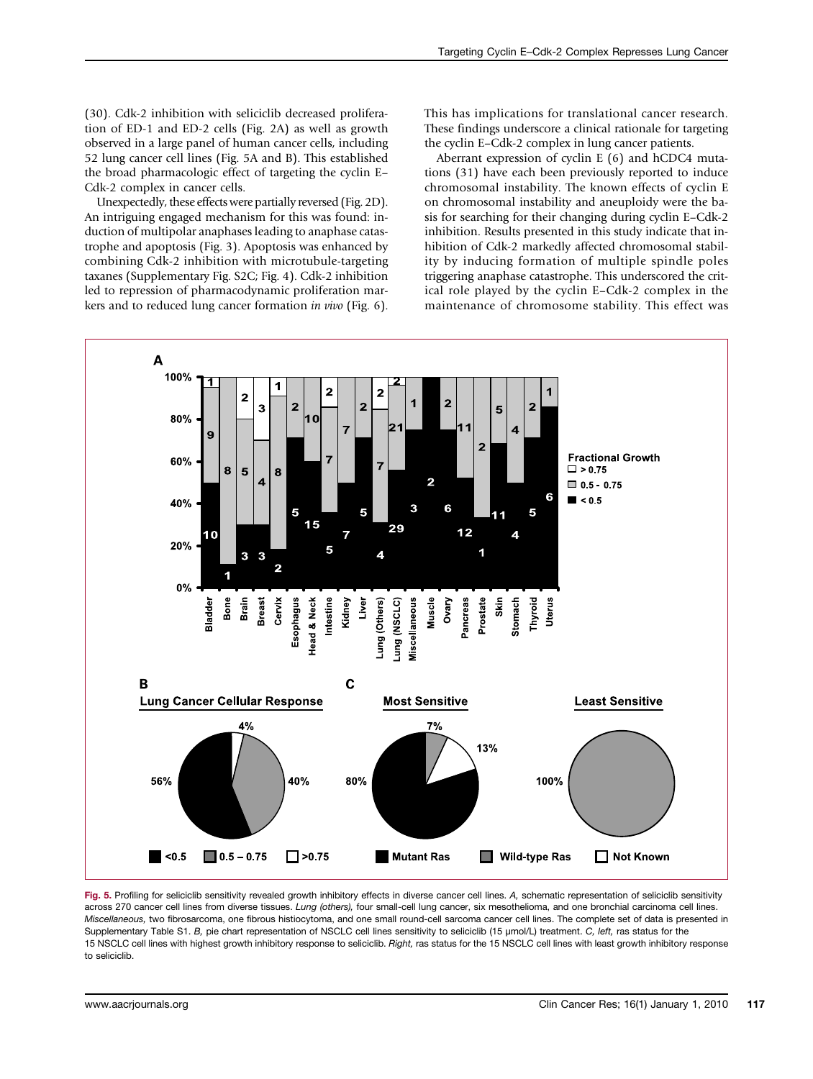(30). Cdk-2 inhibition with seliciclib decreased proliferation of ED-1 and ED-2 cells (Fig. 2A) as well as growth observed in a large panel of human cancer cells, including 52 lung cancer cell lines (Fig. 5A and B). This established the broad pharmacologic effect of targeting the cyclin E– Cdk-2 complex in cancer cells.

Unexpectedly, these effects were partially reversed (Fig. 2D). An intriguing engaged mechanism for this was found: induction of multipolar anaphases leading to anaphase catastrophe and apoptosis (Fig. 3). Apoptosis was enhanced by combining Cdk-2 inhibition with microtubule-targeting taxanes (Supplementary Fig. S2C; Fig. 4). Cdk-2 inhibition led to repression of pharmacodynamic proliferation markers and to reduced lung cancer formation in vivo (Fig. 6).

This has implications for translational cancer research. These findings underscore a clinical rationale for targeting the cyclin E–Cdk-2 complex in lung cancer patients.

Aberrant expression of cyclin E (6) and hCDC4 mutations (31) have each been previously reported to induce chromosomal instability. The known effects of cyclin E on chromosomal instability and aneuploidy were the basis for searching for their changing during cyclin E–Cdk-2 inhibition. Results presented in this study indicate that inhibition of Cdk-2 markedly affected chromosomal stability by inducing formation of multiple spindle poles triggering anaphase catastrophe. This underscored the critical role played by the cyclin E–Cdk-2 complex in the maintenance of chromosome stability. This effect was



Fig. 5. Profiling for seliciclib sensitivity revealed growth inhibitory effects in diverse cancer cell lines. A, schematic representation of seliciclib sensitivity across 270 cancer cell lines from diverse tissues. Lung (others), four small-cell lung cancer, six mesothelioma, and one bronchial carcinoma cell lines. Miscellaneous, two fibrosarcoma, one fibrous histiocytoma, and one small round-cell sarcoma cancer cell lines. The complete set of data is presented in Supplementary Table S1. B, pie chart representation of NSCLC cell lines sensitivity to seliciclib (15 <sup>μ</sup>mol/L) treatment. C, left, ras status for the 15 NSCLC cell lines with highest growth inhibitory response to seliciclib. Right, ras status for the 15 NSCLC cell lines with least growth inhibitory response to seliciclib.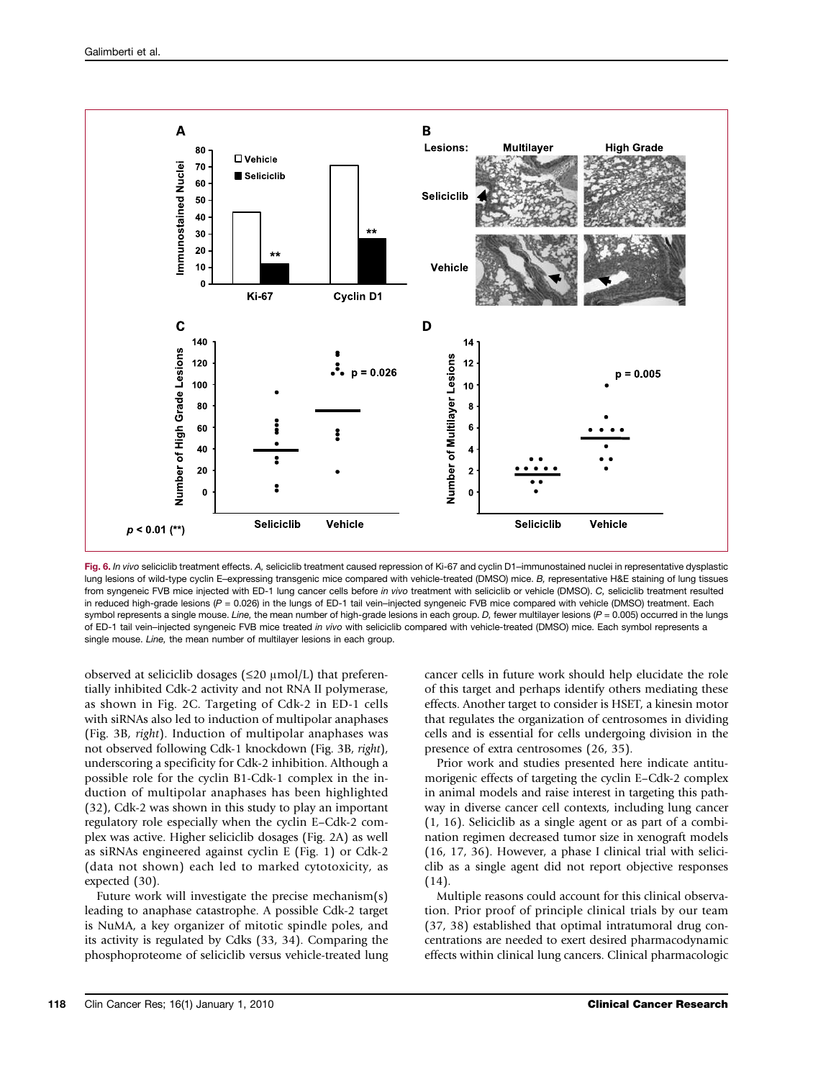

Fig. 6. In vivo seliciclib treatment effects. A, seliciclib treatment caused repression of Ki-67 and cyclin D1-immunostained nuclei in representative dysplastic lung lesions of wild-type cyclin E–expressing transgenic mice compared with vehicle-treated (DMSO) mice. B, representative H&E staining of lung tissues from syngeneic FVB mice injected with ED-1 lung cancer cells before in vivo treatment with seliciclib or vehicle (DMSO). C, seliciclib treatment resulted in reduced high-grade lesions (P = 0.026) in the lungs of ED-1 tail vein–injected syngeneic FVB mice compared with vehicle (DMSO) treatment. Each symbol represents a single mouse. Line, the mean number of high-grade lesions in each group. D, fewer multilayer lesions  $(P = 0.005)$  occurred in the lungs of ED-1 tail vein–injected syngeneic FVB mice treated in vivo with seliciclib compared with vehicle-treated (DMSO) mice. Each symbol represents a single mouse. Line, the mean number of multilayer lesions in each group.

observed at seliciclib dosages ( $\leq$ 20  $\mu$ mol/L) that preferentially inhibited Cdk-2 activity and not RNA II polymerase, as shown in Fig. 2C. Targeting of Cdk-2 in ED-1 cells with siRNAs also led to induction of multipolar anaphases (Fig. 3B, right). Induction of multipolar anaphases was not observed following Cdk-1 knockdown (Fig. 3B, right), underscoring a specificity for Cdk-2 inhibition. Although a possible role for the cyclin B1-Cdk-1 complex in the induction of multipolar anaphases has been highlighted (32), Cdk-2 was shown in this study to play an important regulatory role especially when the cyclin E–Cdk-2 complex was active. Higher seliciclib dosages (Fig. 2A) as well as siRNAs engineered against cyclin E (Fig. 1) or Cdk-2 (data not shown) each led to marked cytotoxicity, as expected (30).

Future work will investigate the precise mechanism(s) leading to anaphase catastrophe. A possible Cdk-2 target is NuMA, a key organizer of mitotic spindle poles, and its activity is regulated by Cdks (33, 34). Comparing the phosphoproteome of seliciclib versus vehicle-treated lung

cancer cells in future work should help elucidate the role of this target and perhaps identify others mediating these effects. Another target to consider is HSET, a kinesin motor that regulates the organization of centrosomes in dividing cells and is essential for cells undergoing division in the presence of extra centrosomes (26, 35).

Prior work and studies presented here indicate antitumorigenic effects of targeting the cyclin E–Cdk-2 complex in animal models and raise interest in targeting this pathway in diverse cancer cell contexts, including lung cancer (1, 16). Seliciclib as a single agent or as part of a combination regimen decreased tumor size in xenograft models (16, 17, 36). However, a phase I clinical trial with seliciclib as a single agent did not report objective responses (14).

Multiple reasons could account for this clinical observation. Prior proof of principle clinical trials by our team (37, 38) established that optimal intratumoral drug concentrations are needed to exert desired pharmacodynamic effects within clinical lung cancers. Clinical pharmacologic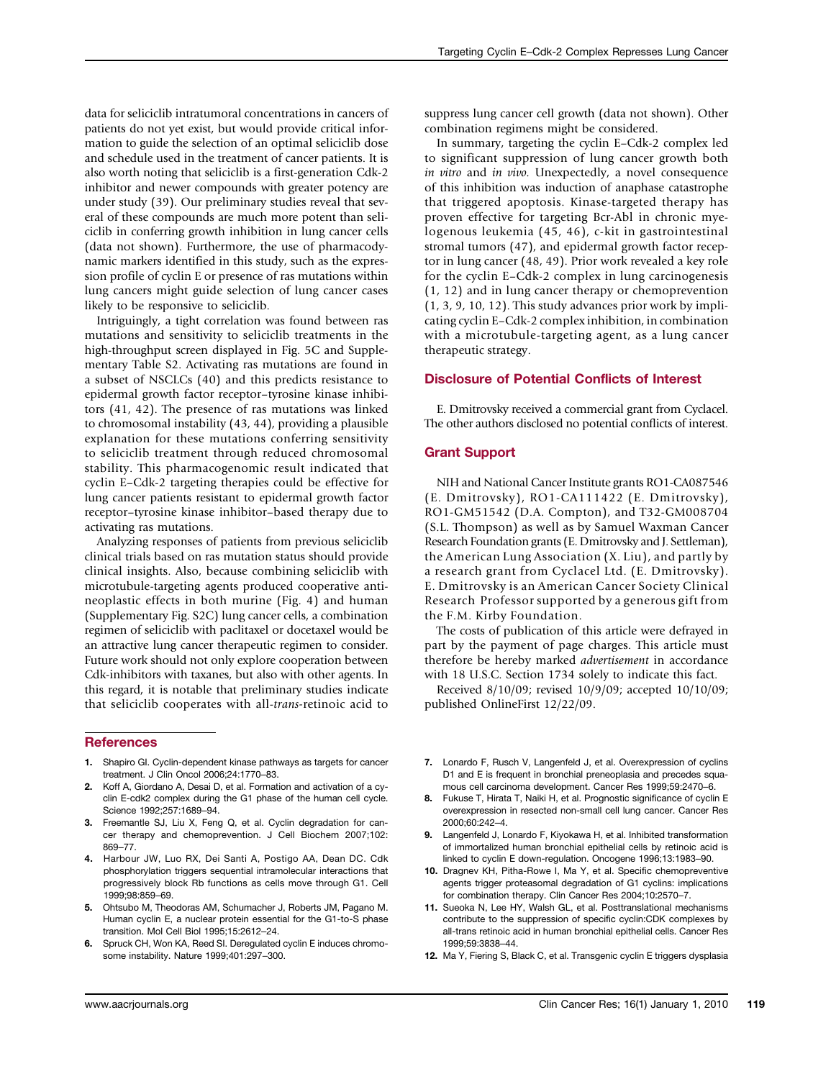data for seliciclib intratumoral concentrations in cancers of patients do not yet exist, but would provide critical information to guide the selection of an optimal seliciclib dose and schedule used in the treatment of cancer patients. It is also worth noting that seliciclib is a first-generation Cdk-2 inhibitor and newer compounds with greater potency are under study (39). Our preliminary studies reveal that several of these compounds are much more potent than seliciclib in conferring growth inhibition in lung cancer cells (data not shown). Furthermore, the use of pharmacodynamic markers identified in this study, such as the expression profile of cyclin E or presence of ras mutations within lung cancers might guide selection of lung cancer cases likely to be responsive to seliciclib.

Intriguingly, a tight correlation was found between ras mutations and sensitivity to seliciclib treatments in the high-throughput screen displayed in Fig. 5C and Supplementary Table S2. Activating ras mutations are found in a subset of NSCLCs (40) and this predicts resistance to epidermal growth factor receptor–tyrosine kinase inhibitors (41, 42). The presence of ras mutations was linked to chromosomal instability (43, 44), providing a plausible explanation for these mutations conferring sensitivity to seliciclib treatment through reduced chromosomal stability. This pharmacogenomic result indicated that cyclin E–Cdk-2 targeting therapies could be effective for lung cancer patients resistant to epidermal growth factor receptor–tyrosine kinase inhibitor–based therapy due to activating ras mutations.

Analyzing responses of patients from previous seliciclib clinical trials based on ras mutation status should provide clinical insights. Also, because combining seliciclib with microtubule-targeting agents produced cooperative antineoplastic effects in both murine (Fig. 4) and human (Supplementary Fig. S2C) lung cancer cells, a combination regimen of seliciclib with paclitaxel or docetaxel would be an attractive lung cancer therapeutic regimen to consider. Future work should not only explore cooperation between Cdk-inhibitors with taxanes, but also with other agents. In this regard, it is notable that preliminary studies indicate that seliciclib cooperates with all-trans-retinoic acid to

#### **References**

- 1. Shapiro GI. Cyclin-dependent kinase pathways as targets for cancer treatment. J Clin Oncol 2006;24:1770–83.
- 2. Koff A, Giordano A, Desai D, et al. Formation and activation of a cyclin E-cdk2 complex during the G1 phase of the human cell cycle. Science 1992;257:1689–94.
- 3. Freemantle SJ, Liu X, Feng Q, et al. Cyclin degradation for cancer therapy and chemoprevention. J Cell Biochem 2007;102: 869–77.
- 4. Harbour JW, Luo RX, Dei Santi A, Postigo AA, Dean DC. Cdk phosphorylation triggers sequential intramolecular interactions that progressively block Rb functions as cells move through G1. Cell 1999;98:859–69.
- 5. Ohtsubo M, Theodoras AM, Schumacher J, Roberts JM, Pagano M. Human cyclin E, a nuclear protein essential for the G1-to-S phase transition. Mol Cell Biol 1995;15:2612–24.
- 6. Spruck CH, Won KA, Reed SI. Deregulated cyclin E induces chromosome instability. Nature 1999;401:297–300.

suppress lung cancer cell growth (data not shown). Other combination regimens might be considered.

In summary, targeting the cyclin E–Cdk-2 complex led to significant suppression of lung cancer growth both in vitro and in vivo. Unexpectedly, a novel consequence of this inhibition was induction of anaphase catastrophe that triggered apoptosis. Kinase-targeted therapy has proven effective for targeting Bcr-Abl in chronic myelogenous leukemia (45, 46), c-kit in gastrointestinal stromal tumors (47), and epidermal growth factor receptor in lung cancer (48, 49). Prior work revealed a key role for the cyclin E–Cdk-2 complex in lung carcinogenesis (1, 12) and in lung cancer therapy or chemoprevention (1, 3, 9, 10, 12). This study advances prior work by implicating cyclin E–Cdk-2 complex inhibition, in combination with a microtubule-targeting agent, as a lung cancer therapeutic strategy.

#### Disclosure of Potential Conflicts of Interest

E. Dmitrovsky received a commercial grant from Cyclacel. The other authors disclosed no potential conflicts of interest.

#### Grant Support

NIH and National Cancer Institute grants RO1-CA087546 (E. Dmitrovsky), RO1-CA111422 (E. Dmitrovsky), RO1-GM51542 (D.A. Compton), and T32-GM008704 (S.L. Thompson) as well as by Samuel Waxman Cancer Research Foundation grants (E. Dmitrovsky and J. Settleman), the American Lung Association (X. Liu), and partly by a research grant from Cyclacel Ltd. (E. Dmitrovsky). E. Dmitrovsky is an American Cancer Society Clinical Research Professor supported by a generous gift from the F.M. Kirby Foundation.

The costs of publication of this article were defrayed in part by the payment of page charges. This article must therefore be hereby marked advertisement in accordance with 18 U.S.C. Section 1734 solely to indicate this fact.

Received 8/10/09; revised 10/9/09; accepted 10/10/09; published OnlineFirst 12/22/09.

- 7. Lonardo F, Rusch V, Langenfeld J, et al. Overexpression of cyclins D1 and E is frequent in bronchial preneoplasia and precedes squamous cell carcinoma development. Cancer Res 1999;59:2470–6.
- 8. Fukuse T, Hirata T, Naiki H, et al. Prognostic significance of cyclin E overexpression in resected non-small cell lung cancer. Cancer Res 2000;60:242–4.
- 9. Langenfeld J, Lonardo F, Kiyokawa H, et al. Inhibited transformation of immortalized human bronchial epithelial cells by retinoic acid is linked to cyclin E down-regulation. Oncogene 1996;13:1983–90.
- 10. Dragnev KH, Pitha-Rowe I, Ma Y, et al. Specific chemopreventive agents trigger proteasomal degradation of G1 cyclins: implications for combination therapy. Clin Cancer Res 2004;10:2570–7.
- 11. Sueoka N, Lee HY, Walsh GL, et al. Posttranslational mechanisms contribute to the suppression of specific cyclin:CDK complexes by all-trans retinoic acid in human bronchial epithelial cells. Cancer Res 1999;59:3838–44.
- 12. Ma Y, Fiering S, Black C, et al. Transgenic cyclin E triggers dysplasia